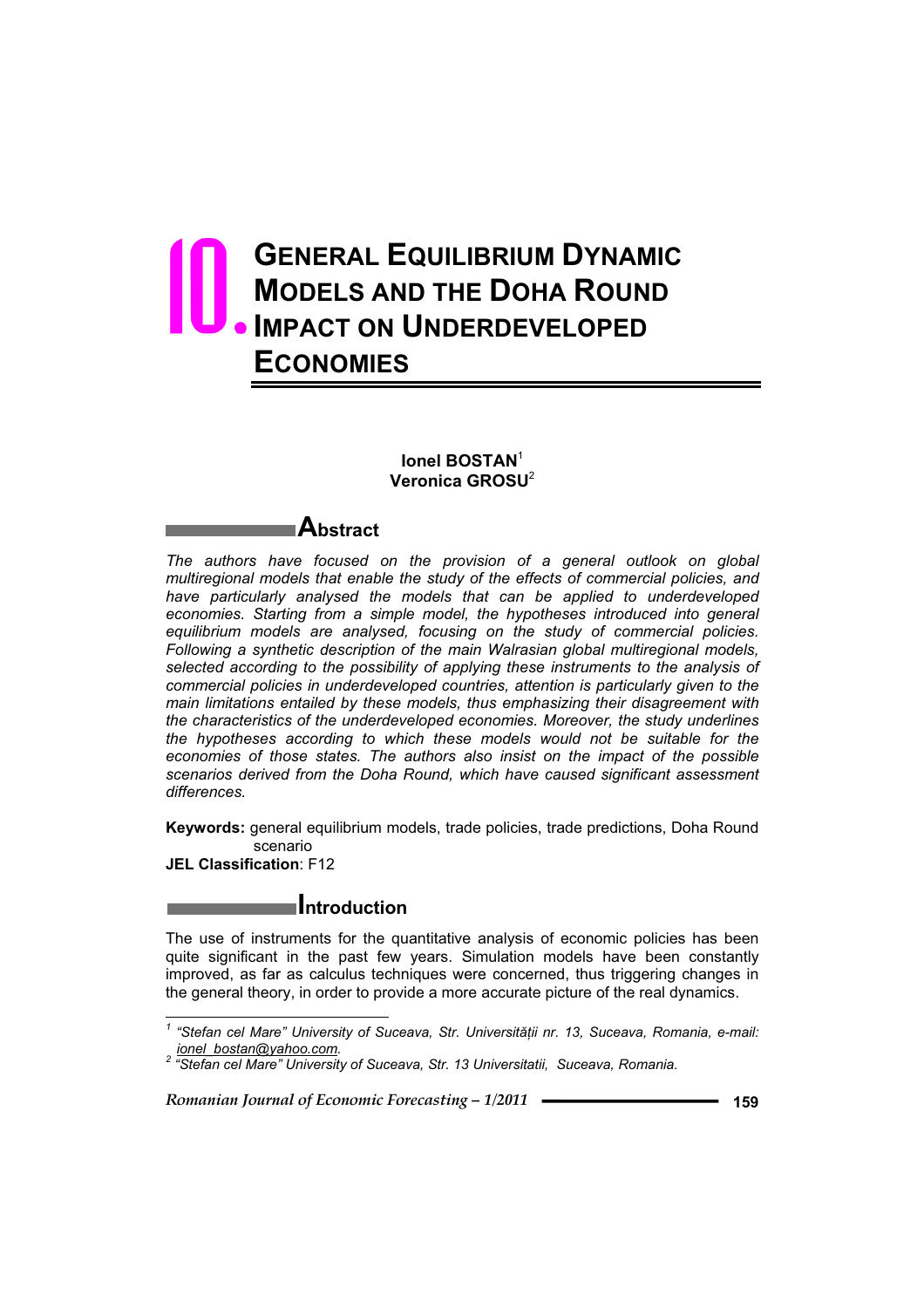# **GENERAL EQUILIBRIUM DYNAMIC MODELS AND THE DOHA ROUND IMPACT ON UNDERDEVELOPED ECONOMIES** 10.

#### **Ionel BOSTAN**<sup>1</sup> **Veronica GROSU**<sup>2</sup>

# **Abstract**

*The authors have focused on the provision of a general outlook on global multiregional models that enable the study of the effects of commercial policies, and have particularly analysed the models that can be applied to underdeveloped*  economies. Starting from a simple model, the hypotheses introduced into general equilibrium models are analysed, focusing on the study of commercial policies. *Following a synthetic description of the main Walrasian global multiregional models, selected according to the possibility of applying these instruments to the analysis of commercial policies in underdeveloped countries, attention is particularly given to the main limitations entailed by these models, thus emphasizing their disagreement with the characteristics of the underdeveloped economies. Moreover, the study underlines the hypotheses according to which these models would not be suitable for the economies of those states. The authors also insist on the impact of the possible scenarios derived from the Doha Round, which have caused significant assessment differences.*

**Keywords:** general equilibrium models, trade policies, trade predictions, Doha Round scenario

**JEL Classification**: F12

 $\overline{a}$ 

# **Introduction**

The use of instruments for the quantitative analysis of economic policies has been quite significant in the past few years. Simulation models have been constantly improved, as far as calculus techniques were concerned, thus triggering changes in the general theory, in order to provide a more accurate picture of the real dynamics.

*<sup>1</sup>* "Stefan cel Mare" University of Suceava, Str. Universității nr. 13, Suceava, Romania, e-mail:<br>ionel bostan@yahoo.com.

*ionel\_bostan@yahoo.com. <sup>2</sup> "Stefan cel Mare" University of Suceava, Str. 13 Universitatii, Suceava, Romania.*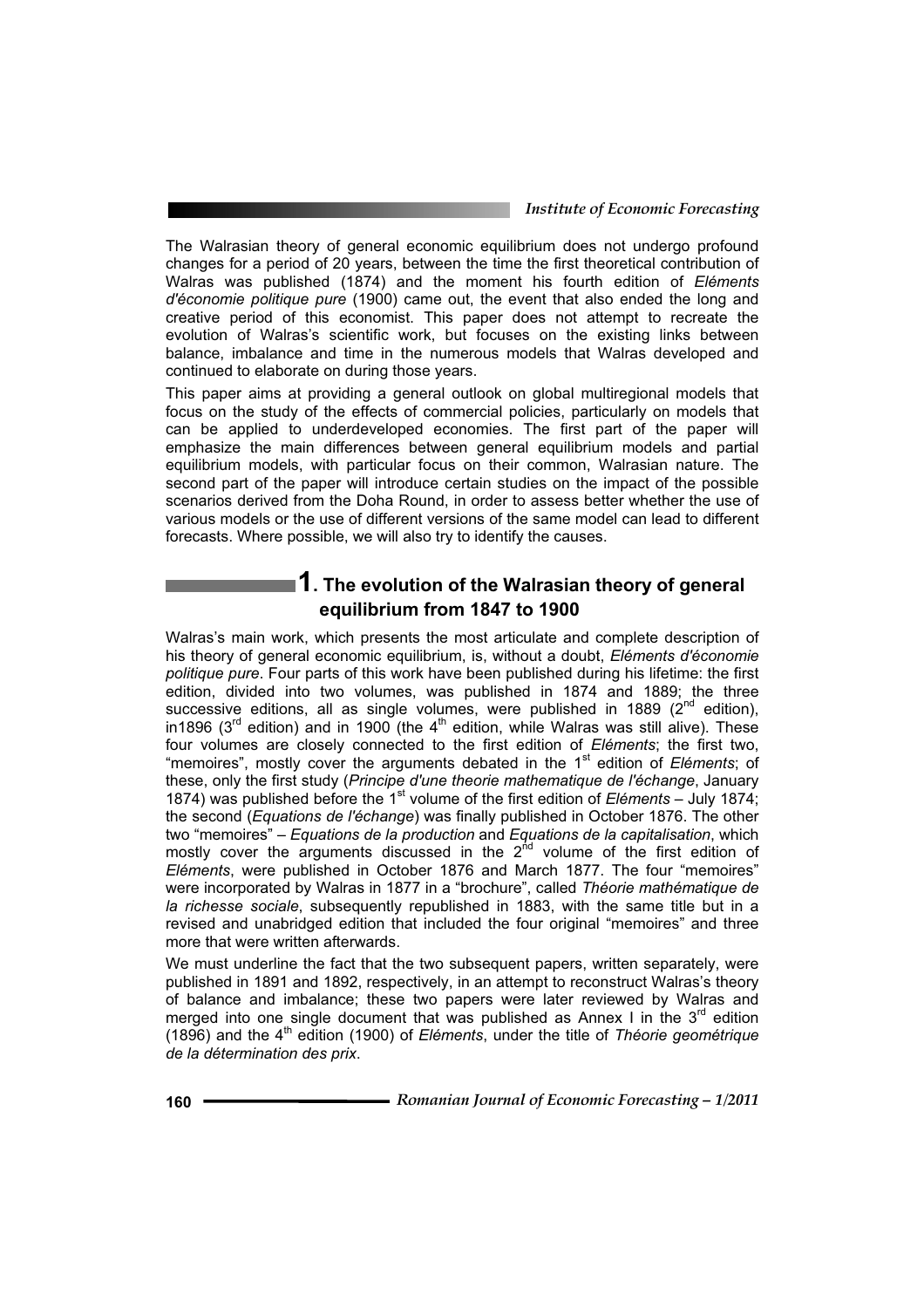#### *Institute of Economic Forecasting*

The Walrasian theory of general economic equilibrium does not undergo profound changes for a period of 20 years, between the time the first theoretical contribution of Walras was published (1874) and the moment his fourth edition of *Eléments d'économie politique pure* (1900) came out, the event that also ended the long and creative period of this economist. This paper does not attempt to recreate the evolution of Walras's scientific work, but focuses on the existing links between balance, imbalance and time in the numerous models that Walras developed and continued to elaborate on during those years.

This paper aims at providing a general outlook on global multiregional models that focus on the study of the effects of commercial policies, particularly on models that can be applied to underdeveloped economies. The first part of the paper will emphasize the main differences between general equilibrium models and partial equilibrium models, with particular focus on their common, Walrasian nature. The second part of the paper will introduce certain studies on the impact of the possible scenarios derived from the Doha Round, in order to assess better whether the use of various models or the use of different versions of the same model can lead to different forecasts. Where possible, we will also try to identify the causes.

# **1. The evolution of the Walrasian theory of general equilibrium from 1847 to 1900**

Walras's main work, which presents the most articulate and complete description of his theory of general economic equilibrium, is, without a doubt, *Eléments d'économie politique pure*. Four parts of this work have been published during his lifetime: the first edition, divided into two volumes, was published in 1874 and 1889; the three successive editions, all as single volumes, were published in  $1889$  ( $2<sup>nd</sup>$  edition), in1896 (3<sup>rd</sup> edition) and in 1900 (the 4<sup>th</sup> edition, while Walras was still alive). These four volumes are closely connected to the first edition of *Eléments*; the first two, "memoires", mostly cover the arguments debated in the 1st edition of *Eléments*; of these, only the first study (*Principe d'une theorie mathematique de l'échange*, January 1874) was published before the 1<sup>st</sup> volume of the first edition of *Eléments* – July 1874; the second (*Equations de l'échange*) was finally published in October 1876. The other two "memoires" – *Equations de la production* and *Equations de la capitalisation*, which mostly cover the arguments discussed in the  $2<sup>nd</sup>$  volume of the first edition of *Eléments*, were published in October 1876 and March 1877. The four "memoires" were incorporated by Walras in 1877 in a "brochure", called *Théorie mathématique de la richesse sociale*, subsequently republished in 1883, with the same title but in a revised and unabridged edition that included the four original "memoires" and three more that were written afterwards.

We must underline the fact that the two subsequent papers, written separately, were published in 1891 and 1892, respectively, in an attempt to reconstruct Walras's theory of balance and imbalance; these two papers were later reviewed by Walras and merged into one single document that was published as Annex I in the  $3<sup>rd</sup>$  edition (1896) and the 4<sup>th</sup> edition (1900) of *Eléments*, under the title of *Théorie geométrique de la détermination des prix*.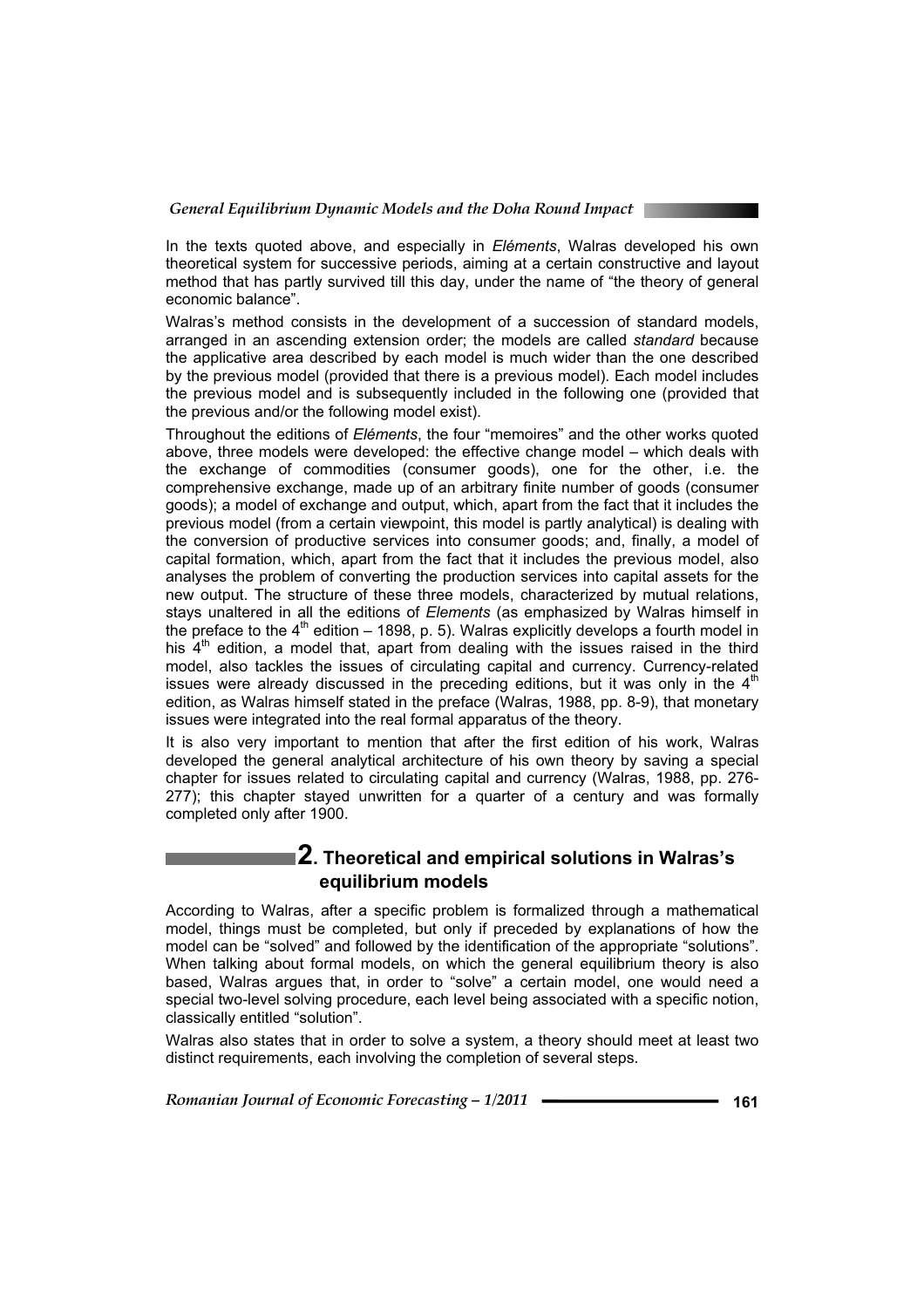

Walras's method consists in the development of a succession of standard models, arranged in an ascending extension order; the models are called *standard* because the applicative area described by each model is much wider than the one described by the previous model (provided that there is a previous model). Each model includes the previous model and is subsequently included in the following one (provided that the previous and/or the following model exist).

Throughout the editions of *Eléments*, the four "memoires" and the other works quoted above, three models were developed: the effective change model – which deals with the exchange of commodities (consumer goods), one for the other, i.e. the comprehensive exchange, made up of an arbitrary finite number of goods (consumer goods); a model of exchange and output, which, apart from the fact that it includes the previous model (from a certain viewpoint, this model is partly analytical) is dealing with the conversion of productive services into consumer goods; and, finally, a model of capital formation, which, apart from the fact that it includes the previous model, also analyses the problem of converting the production services into capital assets for the new output. The structure of these three models, characterized by mutual relations, stays unaltered in all the editions of *Elements* (as emphasized by Walras himself in the preface to the  $4<sup>th</sup>$  edition – 1898, p. 5). Walras explicitly develops a fourth model in his  $4<sup>th</sup>$  edition, a model that, apart from dealing with the issues raised in the third model, also tackles the issues of circulating capital and currency. Currency-related issues were already discussed in the preceding editions, but it was only in the  $4<sup>th</sup>$ edition, as Walras himself stated in the preface (Walras, 1988, pp. 8-9), that monetary issues were integrated into the real formal apparatus of the theory.

It is also very important to mention that after the first edition of his work, Walras developed the general analytical architecture of his own theory by saving a special chapter for issues related to circulating capital and currency (Walras, 1988, pp. 276- 277); this chapter stayed unwritten for a quarter of a century and was formally completed only after 1900.

# **2. Theoretical and empirical solutions in Walras's equilibrium models**

According to Walras, after a specific problem is formalized through a mathematical model, things must be completed, but only if preceded by explanations of how the model can be "solved" and followed by the identification of the appropriate "solutions". When talking about formal models, on which the general equilibrium theory is also based, Walras argues that, in order to "solve" a certain model, one would need a special two-level solving procedure, each level being associated with a specific notion, classically entitled "solution".

Walras also states that in order to solve a system, a theory should meet at least two distinct requirements, each involving the completion of several steps.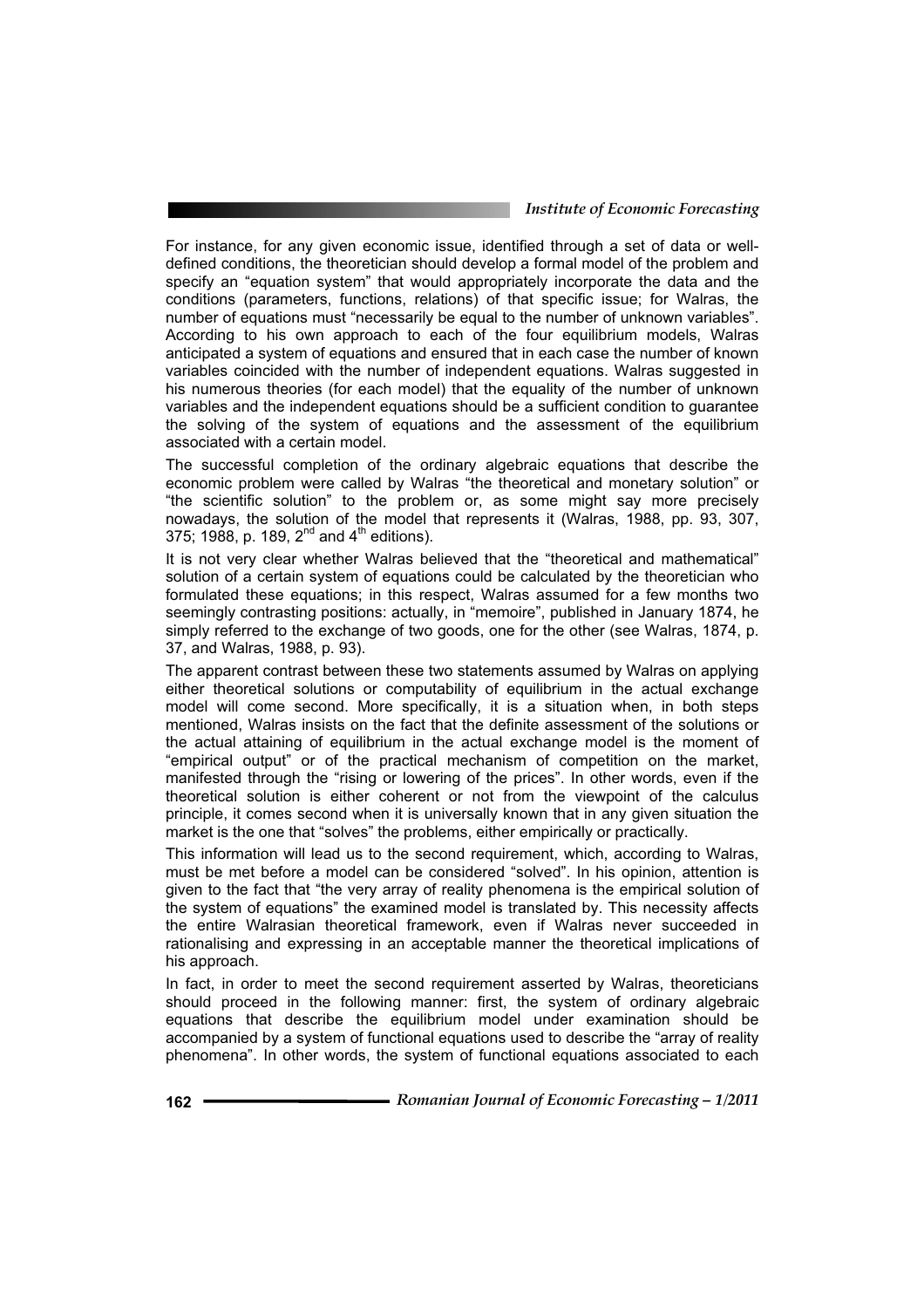#### *Institute of Economic Forecasting*

For instance, for any given economic issue, identified through a set of data or welldefined conditions, the theoretician should develop a formal model of the problem and specify an "equation system" that would appropriately incorporate the data and the conditions (parameters, functions, relations) of that specific issue; for Walras, the number of equations must "necessarily be equal to the number of unknown variables". According to his own approach to each of the four equilibrium models, Walras anticipated a system of equations and ensured that in each case the number of known variables coincided with the number of independent equations. Walras suggested in his numerous theories (for each model) that the equality of the number of unknown variables and the independent equations should be a sufficient condition to guarantee the solving of the system of equations and the assessment of the equilibrium associated with a certain model.

The successful completion of the ordinary algebraic equations that describe the economic problem were called by Walras "the theoretical and monetary solution" or "the scientific solution" to the problem or, as some might say more precisely nowadays, the solution of the model that represents it (Walras, 1988, pp. 93, 307, 375; 1988, p. 189,  $2^{nd}$  and  $4^{th}$  editions).

It is not very clear whether Walras believed that the "theoretical and mathematical" solution of a certain system of equations could be calculated by the theoretician who formulated these equations; in this respect, Walras assumed for a few months two seemingly contrasting positions: actually, in "memoire", published in January 1874, he simply referred to the exchange of two goods, one for the other (see Walras, 1874, p. 37, and Walras, 1988, p. 93).

The apparent contrast between these two statements assumed by Walras on applying either theoretical solutions or computability of equilibrium in the actual exchange model will come second. More specifically, it is a situation when, in both steps mentioned, Walras insists on the fact that the definite assessment of the solutions or the actual attaining of equilibrium in the actual exchange model is the moment of "empirical output" or of the practical mechanism of competition on the market, manifested through the "rising or lowering of the prices". In other words, even if the theoretical solution is either coherent or not from the viewpoint of the calculus principle, it comes second when it is universally known that in any given situation the market is the one that "solves" the problems, either empirically or practically.

This information will lead us to the second requirement, which, according to Walras, must be met before a model can be considered "solved". In his opinion, attention is given to the fact that "the very array of reality phenomena is the empirical solution of the system of equations" the examined model is translated by. This necessity affects the entire Walrasian theoretical framework, even if Walras never succeeded in rationalising and expressing in an acceptable manner the theoretical implications of his approach.

In fact, in order to meet the second requirement asserted by Walras, theoreticians should proceed in the following manner: first, the system of ordinary algebraic equations that describe the equilibrium model under examination should be accompanied by a system of functional equations used to describe the "array of reality phenomena". In other words, the system of functional equations associated to each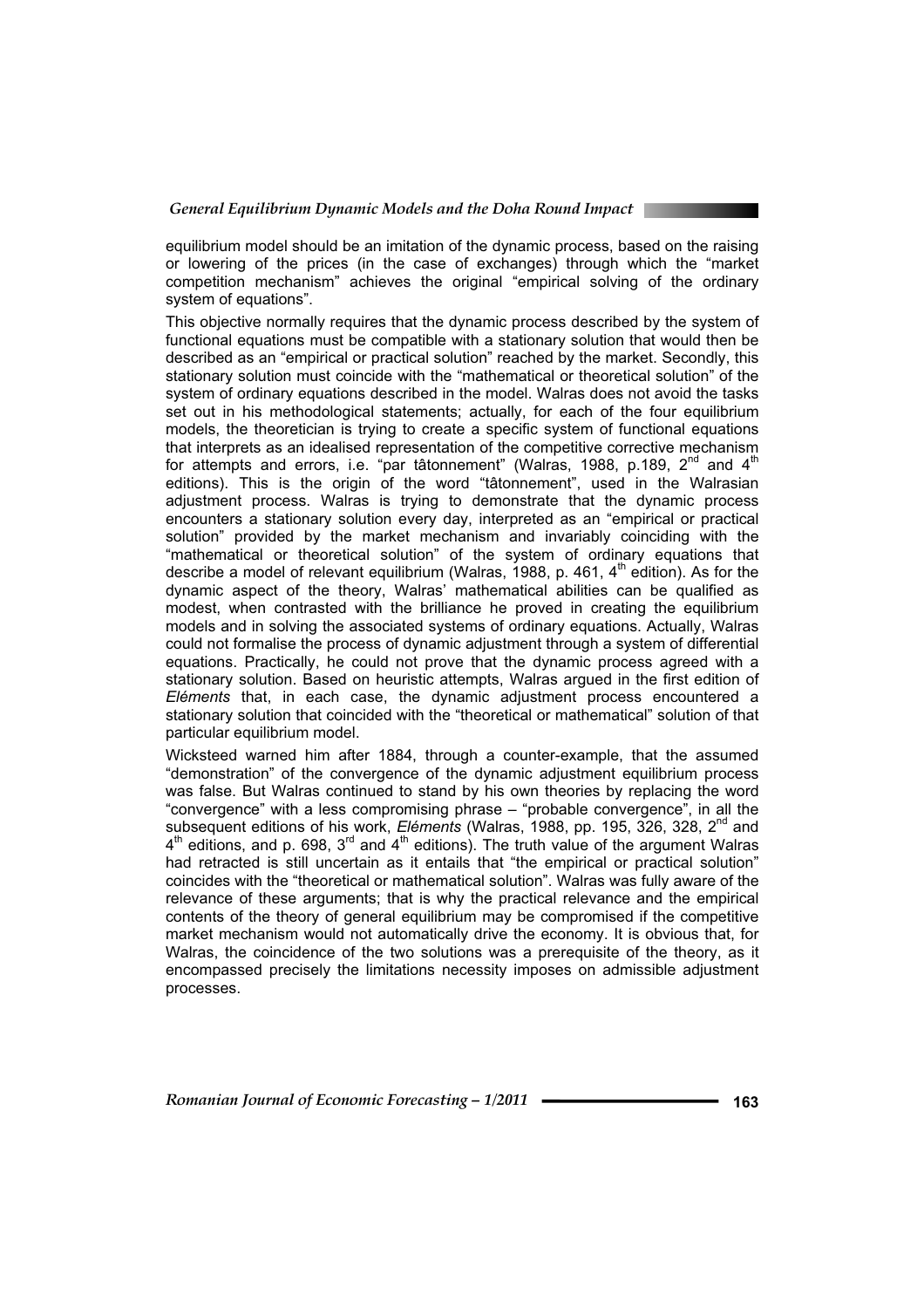equilibrium model should be an imitation of the dynamic process, based on the raising or lowering of the prices (in the case of exchanges) through which the "market competition mechanism" achieves the original "empirical solving of the ordinary system of equations".

This objective normally requires that the dynamic process described by the system of functional equations must be compatible with a stationary solution that would then be described as an "empirical or practical solution" reached by the market. Secondly, this stationary solution must coincide with the "mathematical or theoretical solution" of the system of ordinary equations described in the model. Walras does not avoid the tasks set out in his methodological statements; actually, for each of the four equilibrium models, the theoretician is trying to create a specific system of functional equations that interprets as an idealised representation of the competitive corrective mechanism for attempts and errors, i.e. "par tâtonnement" (Walras, 1988, p.189,  $2^{nd}$  and  $4^{th}$ editions). This is the origin of the word "tâtonnement", used in the Walrasian adjustment process. Walras is trying to demonstrate that the dynamic process encounters a stationary solution every day, interpreted as an "empirical or practical solution" provided by the market mechanism and invariably coinciding with the "mathematical or theoretical solution" of the system of ordinary equations that describe a model of relevant equilibrium (Walras, 1988, p. 461,  $4<sup>th</sup>$  edition). As for the dynamic aspect of the theory, Walras' mathematical abilities can be qualified as modest, when contrasted with the brilliance he proved in creating the equilibrium models and in solving the associated systems of ordinary equations. Actually, Walras could not formalise the process of dynamic adjustment through a system of differential equations. Practically, he could not prove that the dynamic process agreed with a stationary solution. Based on heuristic attempts, Walras argued in the first edition of *Eléments* that, in each case, the dynamic adjustment process encountered a stationary solution that coincided with the "theoretical or mathematical" solution of that particular equilibrium model.

Wicksteed warned him after 1884, through a counter-example, that the assumed "demonstration" of the convergence of the dynamic adjustment equilibrium process was false. But Walras continued to stand by his own theories by replacing the word "convergence" with a less compromising phrase – "probable convergence", in all the subsequent editions of his work, *Eléments* (Walras, 1988, pp. 195, 326, 328, 2nd and  $4<sup>th</sup>$  editions, and p. 698,  $3<sup>rd</sup>$  and  $4<sup>th</sup>$  editions). The truth value of the argument Walras had retracted is still uncertain as it entails that "the empirical or practical solution" coincides with the "theoretical or mathematical solution". Walras was fully aware of the relevance of these arguments; that is why the practical relevance and the empirical contents of the theory of general equilibrium may be compromised if the competitive market mechanism would not automatically drive the economy. It is obvious that, for Walras, the coincidence of the two solutions was a prerequisite of the theory, as it encompassed precisely the limitations necessity imposes on admissible adjustment processes.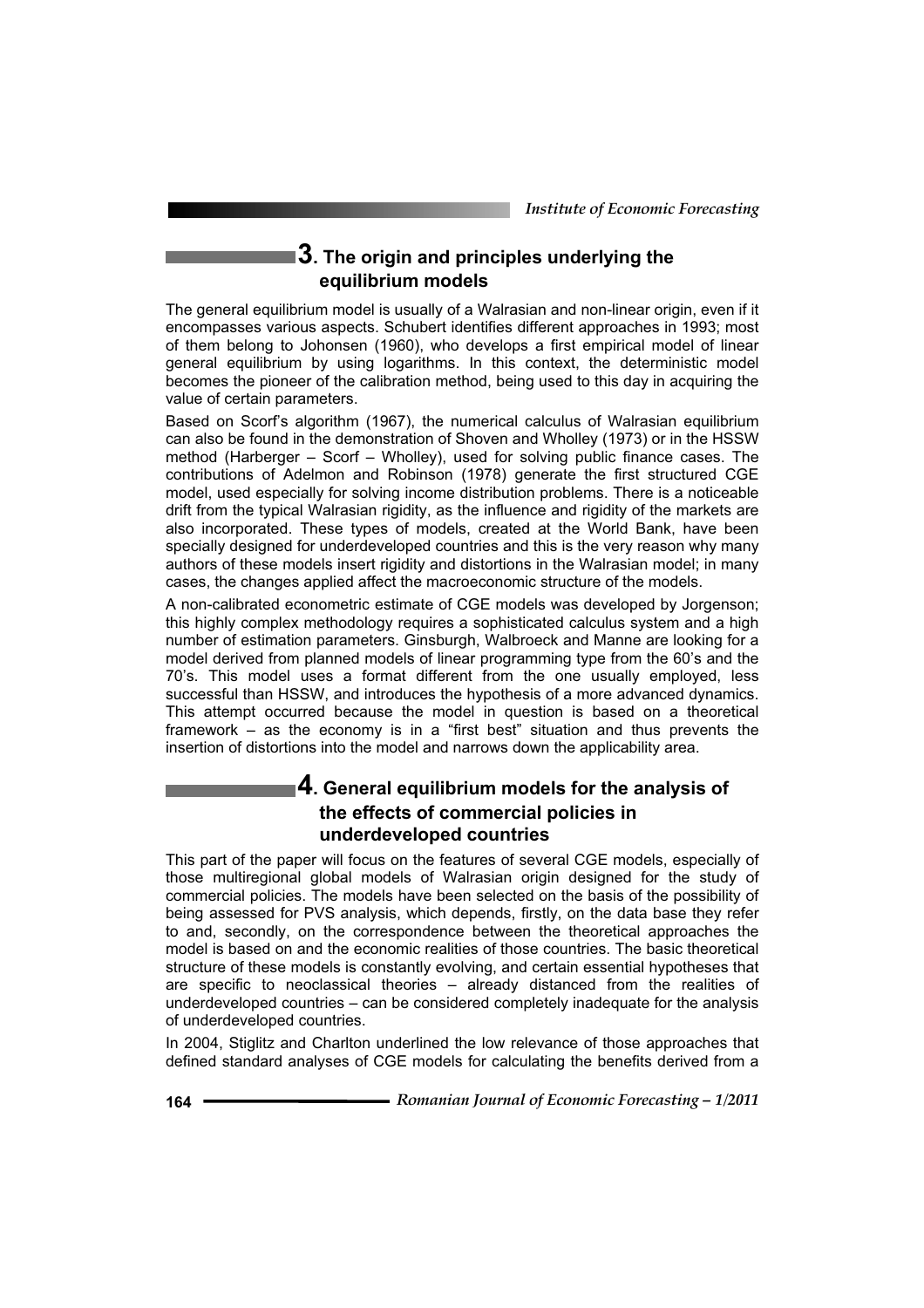# **3. The origin and principles underlying the equilibrium models**

The general equilibrium model is usually of a Walrasian and non-linear origin, even if it encompasses various aspects. Schubert identifies different approaches in 1993; most of them belong to Johonsen (1960), who develops a first empirical model of linear general equilibrium by using logarithms. In this context, the deterministic model becomes the pioneer of the calibration method, being used to this day in acquiring the value of certain parameters.

Based on Scorf's algorithm (1967), the numerical calculus of Walrasian equilibrium can also be found in the demonstration of Shoven and Wholley (1973) or in the HSSW method (Harberger – Scorf – Wholley), used for solving public finance cases. The contributions of Adelmon and Robinson (1978) generate the first structured CGE model, used especially for solving income distribution problems. There is a noticeable drift from the typical Walrasian rigidity, as the influence and rigidity of the markets are also incorporated. These types of models, created at the World Bank, have been specially designed for underdeveloped countries and this is the very reason why many authors of these models insert rigidity and distortions in the Walrasian model; in many cases, the changes applied affect the macroeconomic structure of the models.

A non-calibrated econometric estimate of CGE models was developed by Jorgenson; this highly complex methodology requires a sophisticated calculus system and a high number of estimation parameters. Ginsburgh, Walbroeck and Manne are looking for a model derived from planned models of linear programming type from the 60's and the 70's. This model uses a format different from the one usually employed, less successful than HSSW, and introduces the hypothesis of a more advanced dynamics. This attempt occurred because the model in question is based on a theoretical framework – as the economy is in a "first best" situation and thus prevents the insertion of distortions into the model and narrows down the applicability area.

# **4. General equilibrium models for the analysis of the effects of commercial policies in underdeveloped countries**

This part of the paper will focus on the features of several CGE models, especially of those multiregional global models of Walrasian origin designed for the study of commercial policies. The models have been selected on the basis of the possibility of being assessed for PVS analysis, which depends, firstly, on the data base they refer to and, secondly, on the correspondence between the theoretical approaches the model is based on and the economic realities of those countries. The basic theoretical structure of these models is constantly evolving, and certain essential hypotheses that are specific to neoclassical theories – already distanced from the realities of underdeveloped countries – can be considered completely inadequate for the analysis of underdeveloped countries.

In 2004, Stiglitz and Charlton underlined the low relevance of those approaches that defined standard analyses of CGE models for calculating the benefits derived from a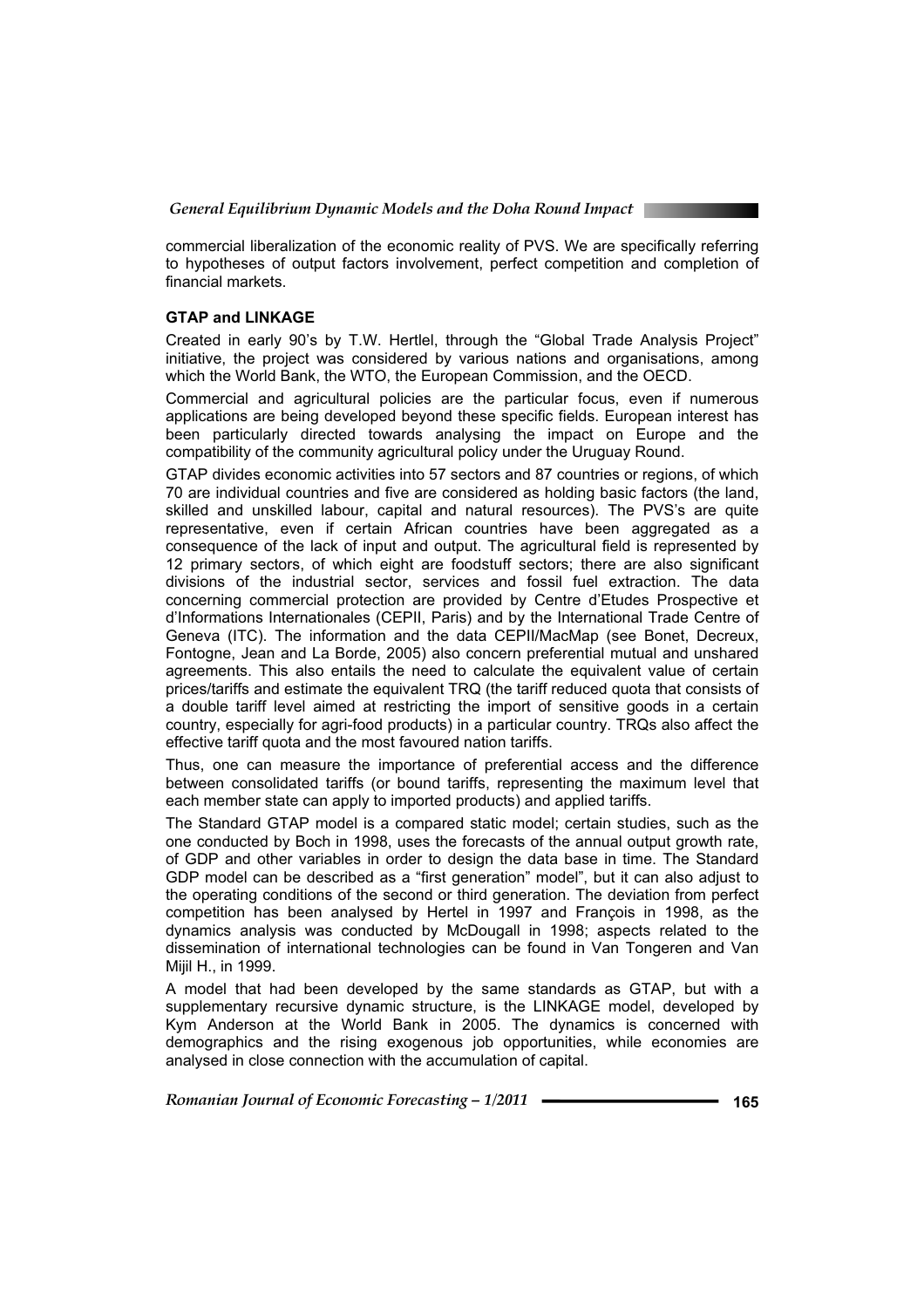commercial liberalization of the economic reality of PVS. We are specifically referring to hypotheses of output factors involvement, perfect competition and completion of financial markets.

#### **GTAP and LINKAGE**

Created in early 90's by T.W. Hertlel, through the "Global Trade Analysis Project" initiative, the project was considered by various nations and organisations, among which the World Bank, the WTO, the European Commission, and the OECD.

Commercial and agricultural policies are the particular focus, even if numerous applications are being developed beyond these specific fields. European interest has been particularly directed towards analysing the impact on Europe and the compatibility of the community agricultural policy under the Uruguay Round.

GTAP divides economic activities into 57 sectors and 87 countries or regions, of which 70 are individual countries and five are considered as holding basic factors (the land, skilled and unskilled labour, capital and natural resources). The PVS's are quite representative, even if certain African countries have been aggregated as a consequence of the lack of input and output. The agricultural field is represented by 12 primary sectors, of which eight are foodstuff sectors; there are also significant divisions of the industrial sector, services and fossil fuel extraction. The data concerning commercial protection are provided by Centre d'Etudes Prospective et d'Informations Internationales (CEPII, Paris) and by the International Trade Centre of Geneva (ITC). The information and the data CEPII/MacMap (see Bonet, Decreux, Fontogne, Jean and La Borde, 2005) also concern preferential mutual and unshared agreements. This also entails the need to calculate the equivalent value of certain prices/tariffs and estimate the equivalent TRQ (the tariff reduced quota that consists of a double tariff level aimed at restricting the import of sensitive goods in a certain country, especially for agri-food products) in a particular country. TRQs also affect the effective tariff quota and the most favoured nation tariffs.

Thus, one can measure the importance of preferential access and the difference between consolidated tariffs (or bound tariffs, representing the maximum level that each member state can apply to imported products) and applied tariffs.

The Standard GTAP model is a compared static model; certain studies, such as the one conducted by Boch in 1998, uses the forecasts of the annual output growth rate, of GDP and other variables in order to design the data base in time. The Standard GDP model can be described as a "first generation" model", but it can also adjust to the operating conditions of the second or third generation. The deviation from perfect competition has been analysed by Hertel in 1997 and François in 1998, as the dynamics analysis was conducted by McDougall in 1998; aspects related to the dissemination of international technologies can be found in Van Tongeren and Van Mijil H., in 1999.

A model that had been developed by the same standards as GTAP, but with a supplementary recursive dynamic structure, is the LINKAGE model, developed by Kym Anderson at the World Bank in 2005. The dynamics is concerned with demographics and the rising exogenous job opportunities, while economies are analysed in close connection with the accumulation of capital.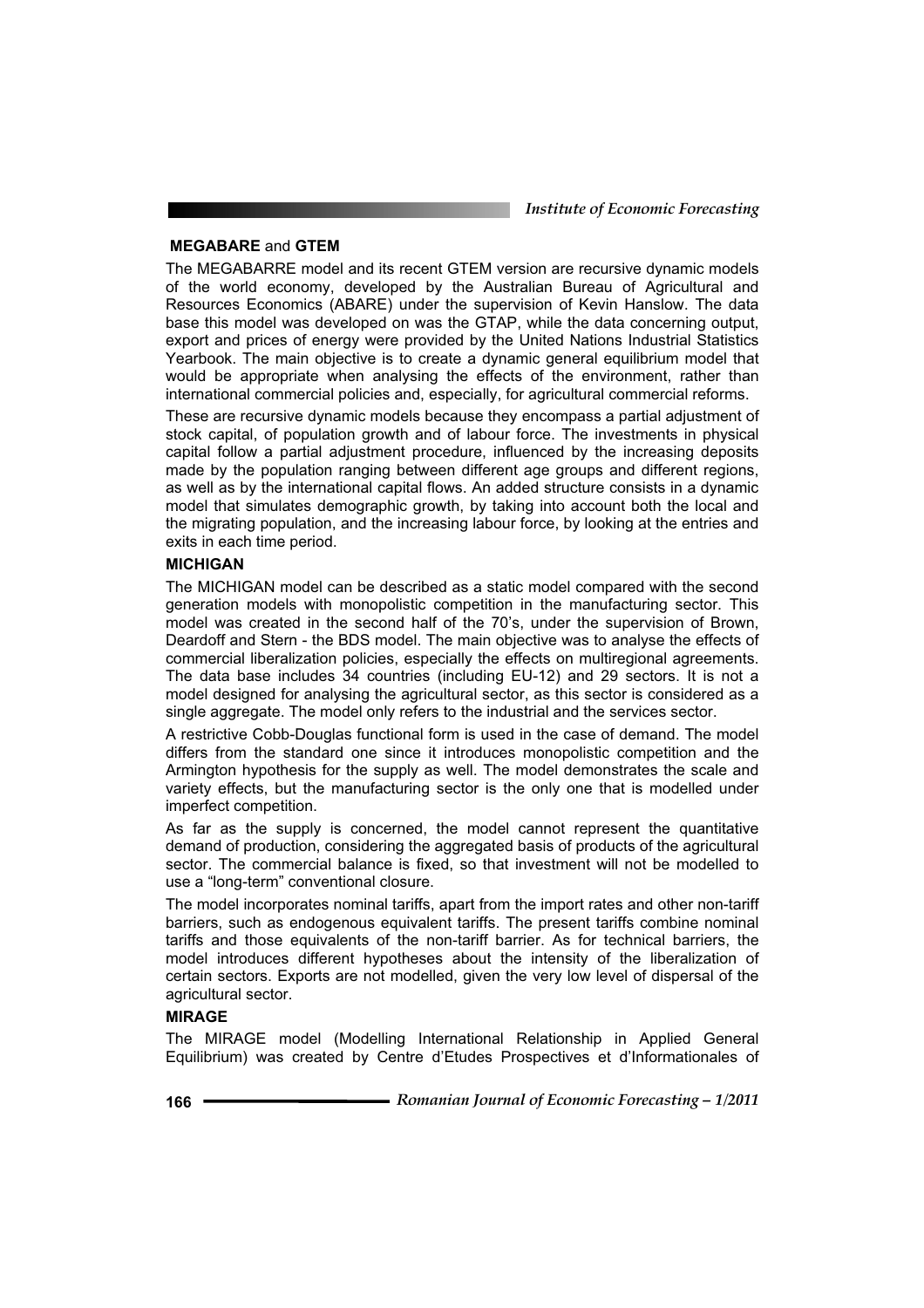*Institute of Economic Forecasting*

#### **MEGABARE** and **GTEM**

The MEGABARRE model and its recent GTEM version are recursive dynamic models of the world economy, developed by the Australian Bureau of Agricultural and Resources Economics (ABARE) under the supervision of Kevin Hanslow. The data base this model was developed on was the GTAP, while the data concerning output, export and prices of energy were provided by the United Nations Industrial Statistics Yearbook. The main objective is to create a dynamic general equilibrium model that would be appropriate when analysing the effects of the environment, rather than international commercial policies and, especially, for agricultural commercial reforms.

These are recursive dynamic models because they encompass a partial adjustment of stock capital, of population growth and of labour force. The investments in physical capital follow a partial adjustment procedure, influenced by the increasing deposits made by the population ranging between different age groups and different regions, as well as by the international capital flows. An added structure consists in a dynamic model that simulates demographic growth, by taking into account both the local and the migrating population, and the increasing labour force, by looking at the entries and exits in each time period.

#### **MICHIGAN**

The MICHIGAN model can be described as a static model compared with the second generation models with monopolistic competition in the manufacturing sector. This model was created in the second half of the 70's, under the supervision of Brown, Deardoff and Stern - the BDS model. The main objective was to analyse the effects of commercial liberalization policies, especially the effects on multiregional agreements. The data base includes 34 countries (including EU-12) and 29 sectors. It is not a model designed for analysing the agricultural sector, as this sector is considered as a single aggregate. The model only refers to the industrial and the services sector.

A restrictive Cobb-Douglas functional form is used in the case of demand. The model differs from the standard one since it introduces monopolistic competition and the Armington hypothesis for the supply as well. The model demonstrates the scale and variety effects, but the manufacturing sector is the only one that is modelled under imperfect competition.

As far as the supply is concerned, the model cannot represent the quantitative demand of production, considering the aggregated basis of products of the agricultural sector. The commercial balance is fixed, so that investment will not be modelled to use a "long-term" conventional closure.

The model incorporates nominal tariffs, apart from the import rates and other non-tariff barriers, such as endogenous equivalent tariffs. The present tariffs combine nominal tariffs and those equivalents of the non-tariff barrier. As for technical barriers, the model introduces different hypotheses about the intensity of the liberalization of certain sectors. Exports are not modelled, given the very low level of dispersal of the agricultural sector.

#### **MIRAGE**

The MIRAGE model (Modelling International Relationship in Applied General Equilibrium) was created by Centre d'Etudes Prospectives et d'Informationales of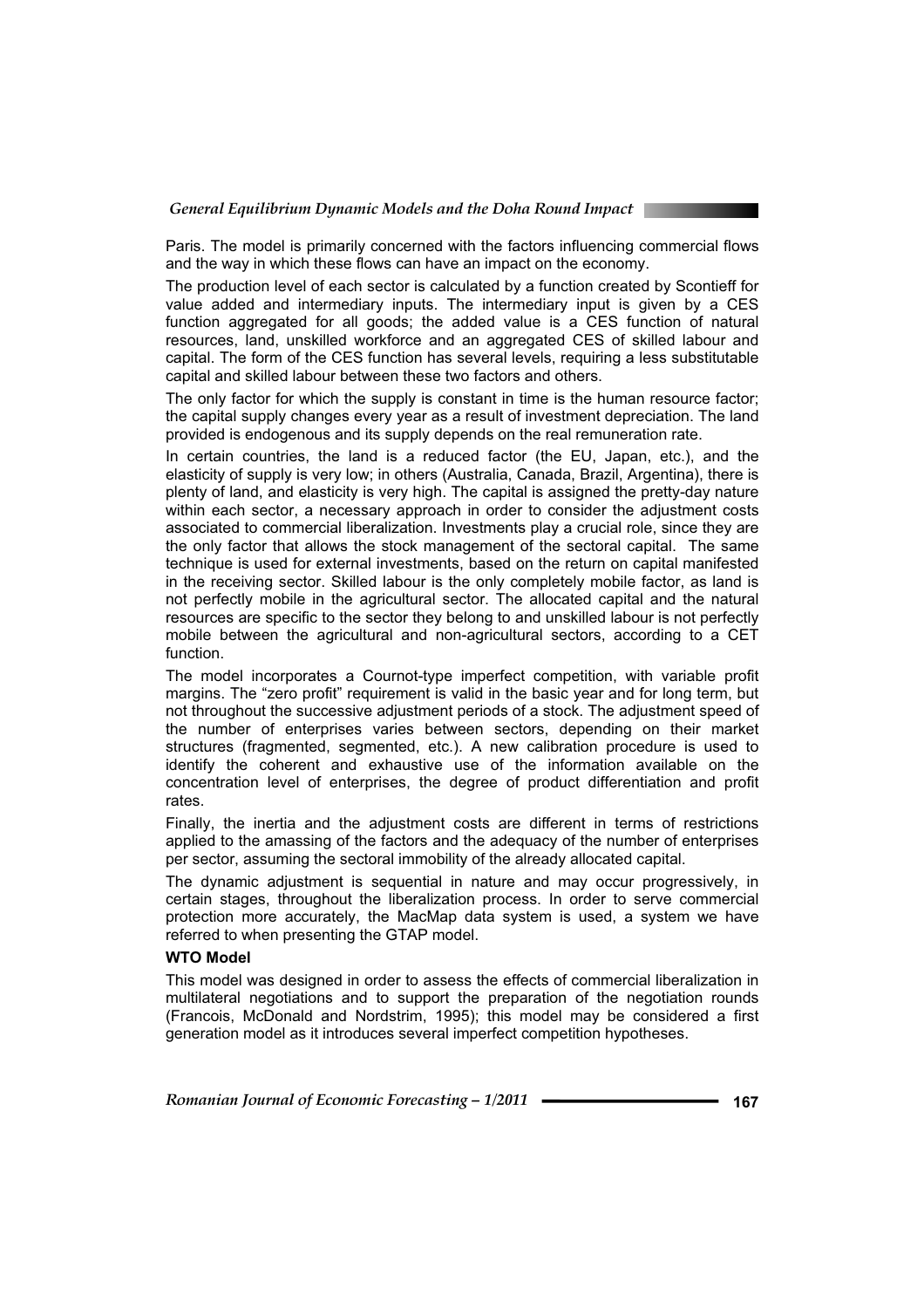Paris. The model is primarily concerned with the factors influencing commercial flows and the way in which these flows can have an impact on the economy.

The production level of each sector is calculated by a function created by Scontieff for value added and intermediary inputs. The intermediary input is given by a CES function aggregated for all goods; the added value is a CES function of natural resources, land, unskilled workforce and an aggregated CES of skilled labour and capital. The form of the CES function has several levels, requiring a less substitutable capital and skilled labour between these two factors and others.

The only factor for which the supply is constant in time is the human resource factor; the capital supply changes every year as a result of investment depreciation. The land provided is endogenous and its supply depends on the real remuneration rate.

In certain countries, the land is a reduced factor (the EU, Japan, etc.), and the elasticity of supply is very low; in others (Australia, Canada, Brazil, Argentina), there is plenty of land, and elasticity is very high. The capital is assigned the pretty-day nature within each sector, a necessary approach in order to consider the adjustment costs associated to commercial liberalization. Investments play a crucial role, since they are the only factor that allows the stock management of the sectoral capital. The same technique is used for external investments, based on the return on capital manifested in the receiving sector. Skilled labour is the only completely mobile factor, as land is not perfectly mobile in the agricultural sector. The allocated capital and the natural resources are specific to the sector they belong to and unskilled labour is not perfectly mobile between the agricultural and non-agricultural sectors, according to a CET function.

The model incorporates a Cournot-type imperfect competition, with variable profit margins. The "zero profit" requirement is valid in the basic year and for long term, but not throughout the successive adjustment periods of a stock. The adjustment speed of the number of enterprises varies between sectors, depending on their market structures (fragmented, segmented, etc.). A new calibration procedure is used to identify the coherent and exhaustive use of the information available on the concentration level of enterprises, the degree of product differentiation and profit rates.

Finally, the inertia and the adjustment costs are different in terms of restrictions applied to the amassing of the factors and the adequacy of the number of enterprises per sector, assuming the sectoral immobility of the already allocated capital.

The dynamic adjustment is sequential in nature and may occur progressively, in certain stages, throughout the liberalization process. In order to serve commercial protection more accurately, the MacMap data system is used, a system we have referred to when presenting the GTAP model.

#### **WTO Model**

This model was designed in order to assess the effects of commercial liberalization in multilateral negotiations and to support the preparation of the negotiation rounds (Francois, McDonald and Nordstrim, 1995); this model may be considered a first generation model as it introduces several imperfect competition hypotheses.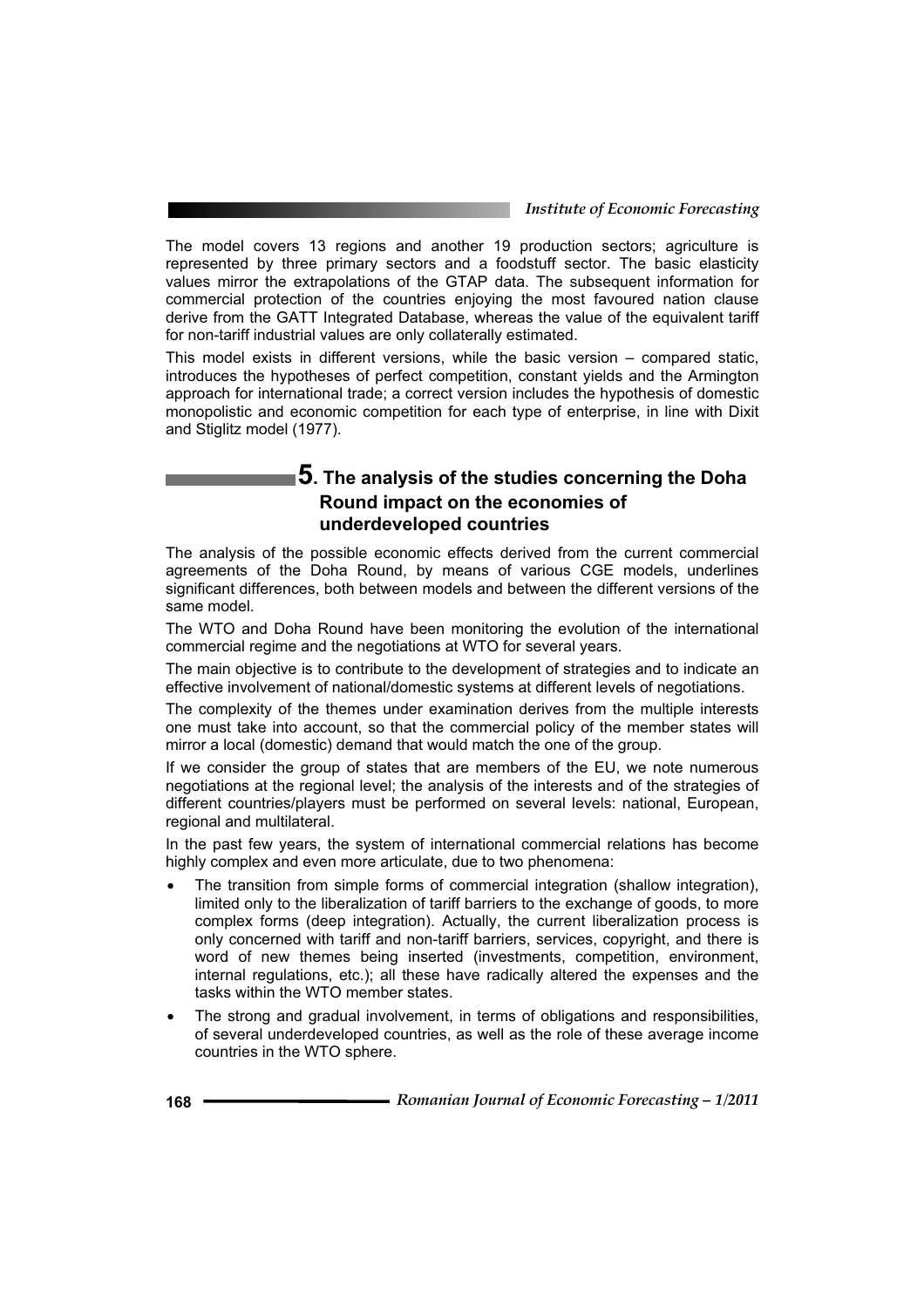The model covers 13 regions and another 19 production sectors; agriculture is represented by three primary sectors and a foodstuff sector. The basic elasticity values mirror the extrapolations of the GTAP data. The subsequent information for commercial protection of the countries enjoying the most favoured nation clause derive from the GATT Integrated Database, whereas the value of the equivalent tariff for non-tariff industrial values are only collaterally estimated.

This model exists in different versions, while the basic version – compared static, introduces the hypotheses of perfect competition, constant yields and the Armington approach for international trade; a correct version includes the hypothesis of domestic monopolistic and economic competition for each type of enterprise, in line with Dixit and Stiglitz model (1977).

# **5. The analysis of the studies concerning the Doha Round impact on the economies of underdeveloped countries**

The analysis of the possible economic effects derived from the current commercial agreements of the Doha Round, by means of various CGE models, underlines significant differences, both between models and between the different versions of the same model.

The WTO and Doha Round have been monitoring the evolution of the international commercial regime and the negotiations at WTO for several years.

The main objective is to contribute to the development of strategies and to indicate an effective involvement of national/domestic systems at different levels of negotiations.

The complexity of the themes under examination derives from the multiple interests one must take into account, so that the commercial policy of the member states will mirror a local (domestic) demand that would match the one of the group.

If we consider the group of states that are members of the EU, we note numerous negotiations at the regional level; the analysis of the interests and of the strategies of different countries/players must be performed on several levels: national, European, regional and multilateral.

In the past few years, the system of international commercial relations has become highly complex and even more articulate, due to two phenomena:

- The transition from simple forms of commercial integration (shallow integration), limited only to the liberalization of tariff barriers to the exchange of goods, to more complex forms (deep integration). Actually, the current liberalization process is only concerned with tariff and non-tariff barriers, services, copyright, and there is word of new themes being inserted (investments, competition, environment, internal regulations, etc.); all these have radically altered the expenses and the tasks within the WTO member states.
- The strong and gradual involvement, in terms of obligations and responsibilities, of several underdeveloped countries, as well as the role of these average income countries in the WTO sphere.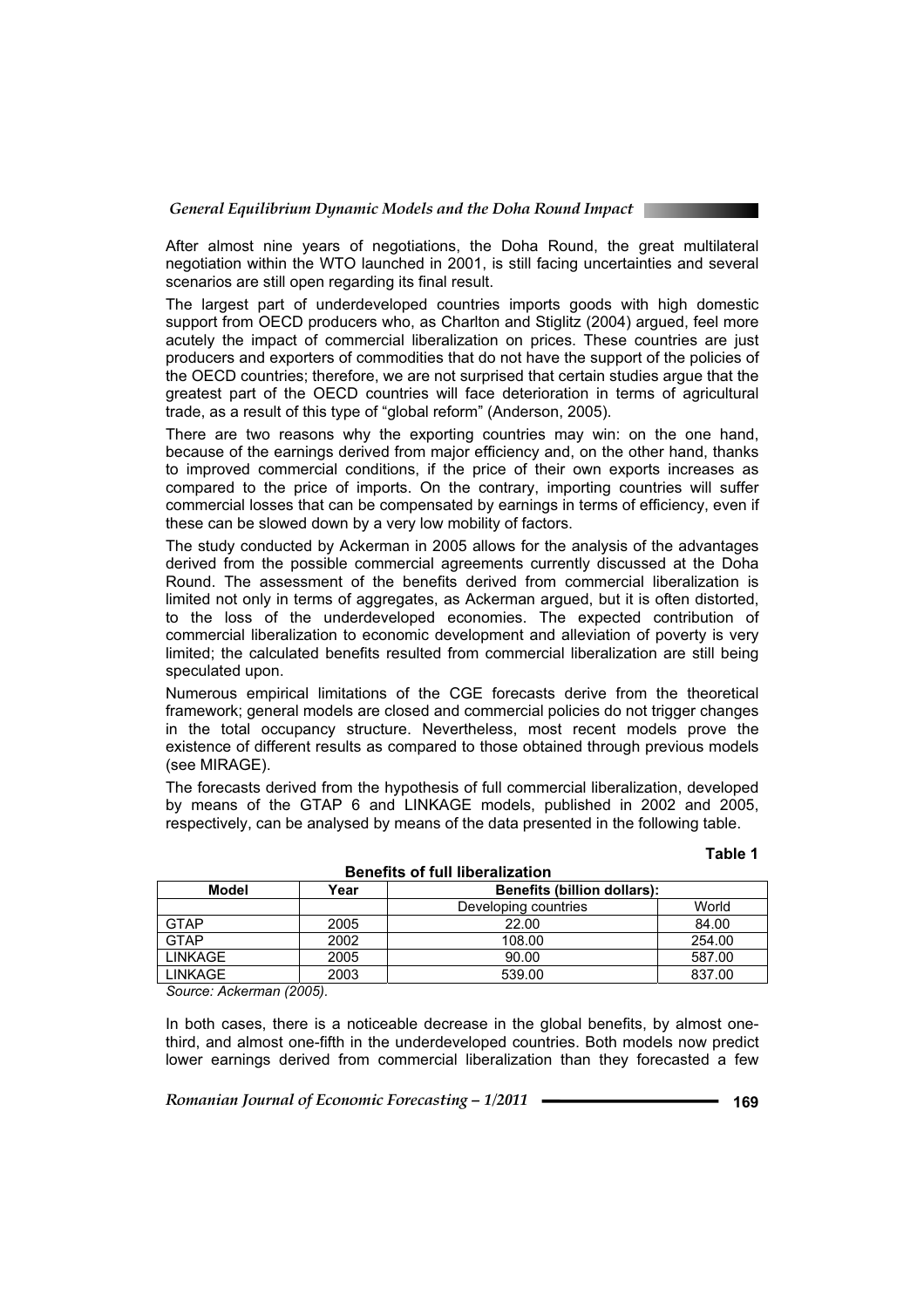After almost nine years of negotiations, the Doha Round, the great multilateral negotiation within the WTO launched in 2001, is still facing uncertainties and several scenarios are still open regarding its final result.

The largest part of underdeveloped countries imports goods with high domestic support from OECD producers who, as Charlton and Stiglitz (2004) argued, feel more acutely the impact of commercial liberalization on prices. These countries are just producers and exporters of commodities that do not have the support of the policies of the OECD countries; therefore, we are not surprised that certain studies argue that the greatest part of the OECD countries will face deterioration in terms of agricultural trade, as a result of this type of "global reform" (Anderson, 2005).

There are two reasons why the exporting countries may win: on the one hand, because of the earnings derived from major efficiency and, on the other hand, thanks to improved commercial conditions, if the price of their own exports increases as compared to the price of imports. On the contrary, importing countries will suffer commercial losses that can be compensated by earnings in terms of efficiency, even if these can be slowed down by a very low mobility of factors.

The study conducted by Ackerman in 2005 allows for the analysis of the advantages derived from the possible commercial agreements currently discussed at the Doha Round. The assessment of the benefits derived from commercial liberalization is limited not only in terms of aggregates, as Ackerman argued, but it is often distorted, to the loss of the underdeveloped economies. The expected contribution of commercial liberalization to economic development and alleviation of poverty is very limited; the calculated benefits resulted from commercial liberalization are still being speculated upon.

Numerous empirical limitations of the CGE forecasts derive from the theoretical framework; general models are closed and commercial policies do not trigger changes in the total occupancy structure. Nevertheless, most recent models prove the existence of different results as compared to those obtained through previous models (see MIRAGE).

The forecasts derived from the hypothesis of full commercial liberalization, developed by means of the GTAP 6 and LINKAGE models, published in 2002 and 2005, respectively, can be analysed by means of the data presented in the following table.

**Benefits of full liberalization** 

#### **Table 1**

| Benefits of full liberalization |      |                                    |        |  |
|---------------------------------|------|------------------------------------|--------|--|
| Model                           | Year | <b>Benefits (billion dollars):</b> |        |  |
|                                 |      | Developing countries               | World  |  |
| <b>GTAP</b>                     | 2005 | 22.00                              | 84.00  |  |
| <b>GTAP</b>                     | 2002 | 108.00                             | 254.00 |  |
| <b>LINKAGE</b>                  | 2005 | 90.00                              | 587.00 |  |
| <b>LINKAGE</b>                  | 2003 | 539.00                             | 837.00 |  |
|                                 |      |                                    |        |  |

*Source: Ackerman (2005).* 

In both cases, there is a noticeable decrease in the global benefits, by almost onethird, and almost one-fifth in the underdeveloped countries. Both models now predict lower earnings derived from commercial liberalization than they forecasted a few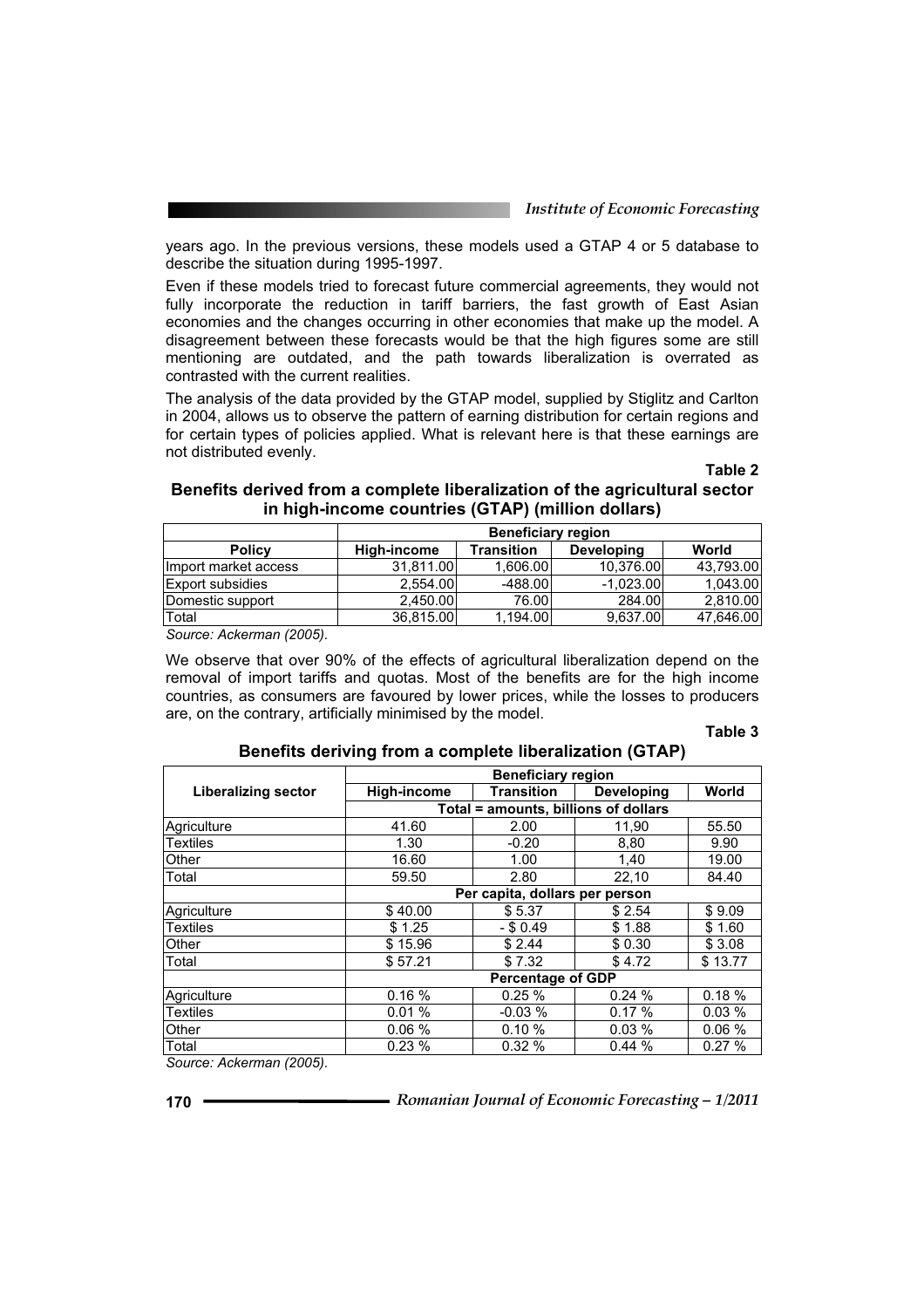years ago. In the previous versions, these models used a GTAP 4 or 5 database to describe the situation during 1995-1997.

Even if these models tried to forecast future commercial agreements, they would not fully incorporate the reduction in tariff barriers, the fast growth of East Asian economies and the changes occurring in other economies that make up the model. A disagreement between these forecasts would be that the high figures some are still mentioning are outdated, and the path towards liberalization is overrated as contrasted with the current realities.

The analysis of the data provided by the GTAP model, supplied by Stiglitz and Carlton in 2004, allows us to observe the pattern of earning distribution for certain regions and for certain types of policies applied. What is relevant here is that these earnings are not distributed evenly.

**Table 2**

#### **Benefits derived from a complete liberalization of the agricultural sector in high-income countries (GTAP) (million dollars)**

|                         | <b>Beneficiary region</b> |                   |                   |           |
|-------------------------|---------------------------|-------------------|-------------------|-----------|
| <b>Policy</b>           | High-income               | <b>Transition</b> | <b>Developing</b> | World     |
| Ilmport market access   | 31.811.00                 | 1.606.00          | 10.376.00         | 43.793.00 |
| <b>Export subsidies</b> | 2.554.00                  | $-488.00$         | $-1.023.00$       | 1,043.00  |
| Domestic support        | 2.450.00                  | 76.00             | 284.00            | 2,810.00  |
| Total                   | 36.815.00                 | 1.194.00          | 9.637.00          | 47,646.00 |

*Source: Ackerman (2005).* 

We observe that over 90% of the effects of agricultural liberalization depend on the removal of import tariffs and quotas. Most of the benefits are for the high income countries, as consumers are favoured by lower prices, while the losses to producers are, on the contrary, artificially minimised by the model.

#### **Table 3**

|                     | <b>Beneficiary region</b>            |                   |                   |         |  |
|---------------------|--------------------------------------|-------------------|-------------------|---------|--|
| Liberalizing sector | High-income                          | <b>Transition</b> | <b>Developing</b> | World   |  |
|                     | Total = amounts, billions of dollars |                   |                   |         |  |
| Agriculture         | 41.60                                | 2.00              | 11,90             | 55.50   |  |
| <b>Textiles</b>     | 1.30                                 | $-0.20$           | 8,80              | 9.90    |  |
| Other               | 16.60                                | 1.00              | 1.40              | 19.00   |  |
| Total               | 59.50                                | 2.80              | 22,10             | 84.40   |  |
|                     | Per capita, dollars per person       |                   |                   |         |  |
| Agriculture         | \$40.00                              | \$5.37            | \$2.54            | \$9.09  |  |
| <b>Textiles</b>     | \$1.25                               | $-$ \$ 0.49       | \$1.88            | \$1.60  |  |
| Other               | \$15.96                              | \$2.44            | \$0.30            | \$3.08  |  |
| Total               | \$57.21                              | \$7.32            | \$4.72            | \$13.77 |  |
|                     | <b>Percentage of GDP</b>             |                   |                   |         |  |
| Agriculture         | 0.16%                                | 0.25%             | 0.24%             | 0.18%   |  |
| <b>Textiles</b>     | 0.01%                                | $-0.03%$          | 0.17%             | 0.03%   |  |
| Other               | 0.06%                                | 0.10%             | 0.03%             | 0.06%   |  |
| Total               | 0.23%                                | 0.32%             | 0.44%             | 0.27%   |  |

#### **Benefits deriving from a complete liberalization (GTAP)**

*Source: Ackerman (2005).*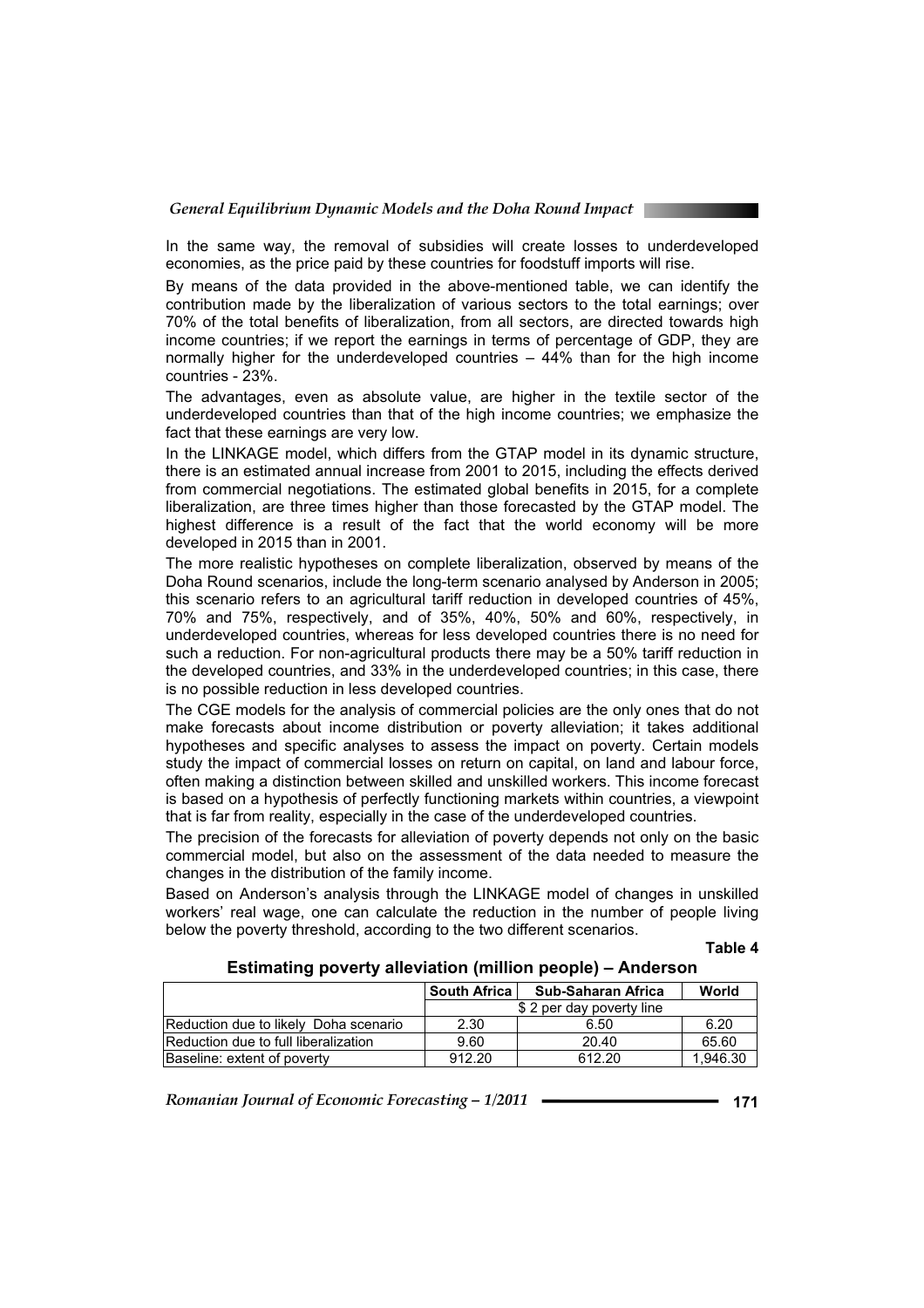In the same way, the removal of subsidies will create losses to underdeveloped economies, as the price paid by these countries for foodstuff imports will rise.

By means of the data provided in the above-mentioned table, we can identify the contribution made by the liberalization of various sectors to the total earnings; over 70% of the total benefits of liberalization, from all sectors, are directed towards high income countries; if we report the earnings in terms of percentage of GDP, they are normally higher for the underdeveloped countries – 44% than for the high income countries - 23%.

The advantages, even as absolute value, are higher in the textile sector of the underdeveloped countries than that of the high income countries; we emphasize the fact that these earnings are very low.

In the LINKAGE model, which differs from the GTAP model in its dynamic structure, there is an estimated annual increase from 2001 to 2015, including the effects derived from commercial negotiations. The estimated global benefits in 2015, for a complete liberalization, are three times higher than those forecasted by the GTAP model. The highest difference is a result of the fact that the world economy will be more developed in 2015 than in 2001.

The more realistic hypotheses on complete liberalization, observed by means of the Doha Round scenarios, include the long-term scenario analysed by Anderson in 2005; this scenario refers to an agricultural tariff reduction in developed countries of 45%, 70% and 75%, respectively, and of 35%, 40%, 50% and 60%, respectively, in underdeveloped countries, whereas for less developed countries there is no need for such a reduction. For non-agricultural products there may be a 50% tariff reduction in the developed countries, and 33% in the underdeveloped countries; in this case, there is no possible reduction in less developed countries.

The CGE models for the analysis of commercial policies are the only ones that do not make forecasts about income distribution or poverty alleviation; it takes additional hypotheses and specific analyses to assess the impact on poverty. Certain models study the impact of commercial losses on return on capital, on land and labour force, often making a distinction between skilled and unskilled workers. This income forecast is based on a hypothesis of perfectly functioning markets within countries, a viewpoint that is far from reality, especially in the case of the underdeveloped countries.

The precision of the forecasts for alleviation of poverty depends not only on the basic commercial model, but also on the assessment of the data needed to measure the changes in the distribution of the family income.

Based on Anderson's analysis through the LINKAGE model of changes in unskilled workers' real wage, one can calculate the reduction in the number of people living below the poverty threshold, according to the two different scenarios.

**Table 4**

|                                       | <b>South Africa</b>      | Sub-Saharan Africa | World    |
|---------------------------------------|--------------------------|--------------------|----------|
|                                       | \$2 per day poverty line |                    |          |
| Reduction due to likely Doha scenario | 2.30                     | 6.50               | 6.20     |
| Reduction due to full liberalization  | 9.60                     | 20.40              | 65.60    |
| Baseline: extent of poverty           | 912.20                   | 612.20             | 1.946.30 |

#### **Estimating poverty alleviation (million people) – Anderson**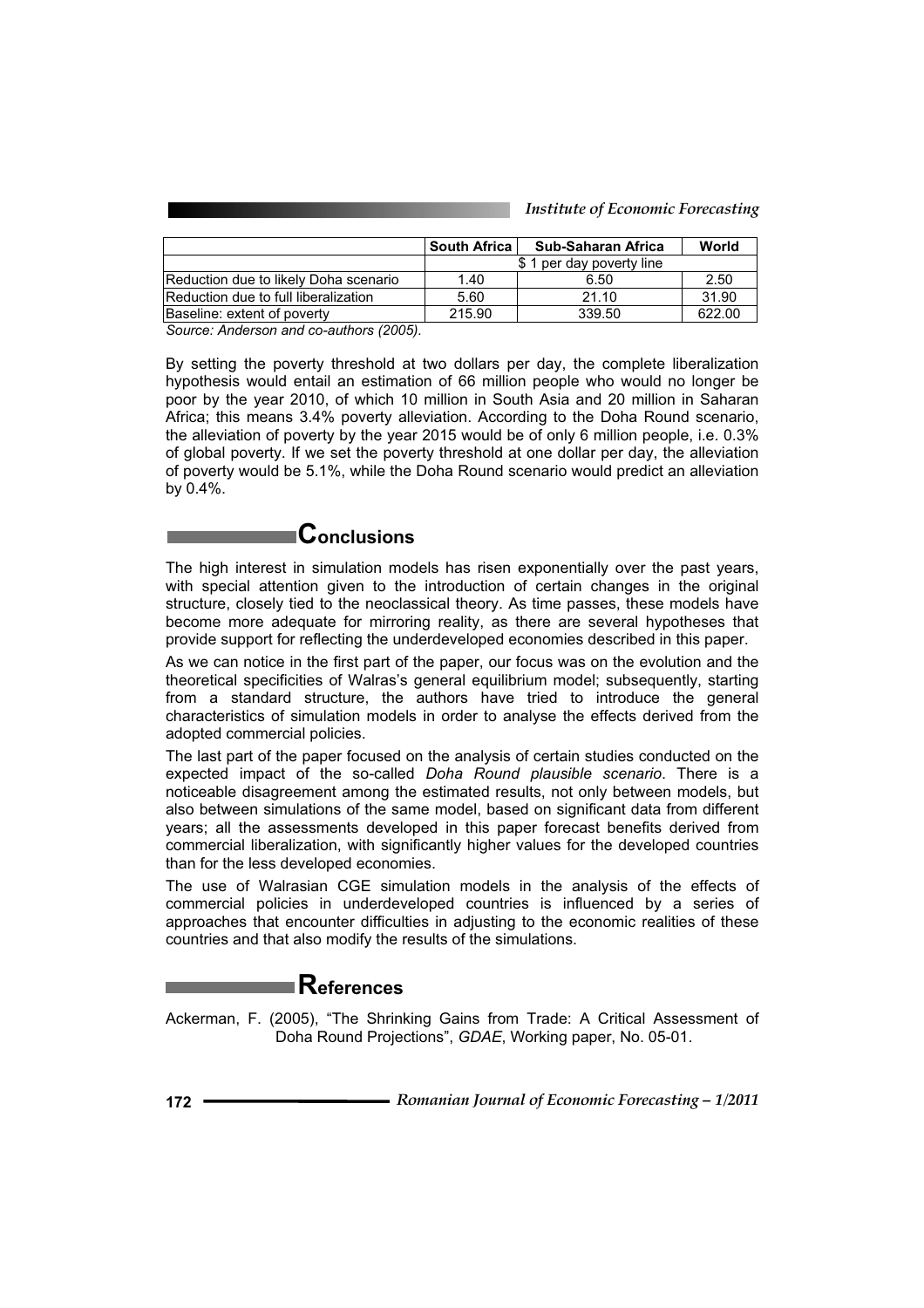|                                       | <b>South Africa</b>      | <b>Sub-Saharan Africa</b> | World  |
|---------------------------------------|--------------------------|---------------------------|--------|
|                                       | \$1 per day poverty line |                           |        |
| Reduction due to likely Doha scenario | 1.40                     | 6.50                      | 2.50   |
| Reduction due to full liberalization  | 5.60                     | 21.10                     | 31.90  |
| Baseline: extent of poverty           | 215.90                   | 339.50                    | 622.00 |

*Source: Anderson and co-authors (2005).* 

By setting the poverty threshold at two dollars per day, the complete liberalization hypothesis would entail an estimation of 66 million people who would no longer be poor by the year 2010, of which 10 million in South Asia and 20 million in Saharan Africa; this means 3.4% poverty alleviation. According to the Doha Round scenario, the alleviation of poverty by the year 2015 would be of only 6 million people, i.e. 0.3% of global poverty. If we set the poverty threshold at one dollar per day, the alleviation of poverty would be 5.1%, while the Doha Round scenario would predict an alleviation by 0.4%.

# **Conclusions**

The high interest in simulation models has risen exponentially over the past years, with special attention given to the introduction of certain changes in the original structure, closely tied to the neoclassical theory. As time passes, these models have become more adequate for mirroring reality, as there are several hypotheses that provide support for reflecting the underdeveloped economies described in this paper.

As we can notice in the first part of the paper, our focus was on the evolution and the theoretical specificities of Walras's general equilibrium model; subsequently, starting from a standard structure, the authors have tried to introduce the general characteristics of simulation models in order to analyse the effects derived from the adopted commercial policies.

The last part of the paper focused on the analysis of certain studies conducted on the expected impact of the so-called *Doha Round plausible scenario*. There is a noticeable disagreement among the estimated results, not only between models, but also between simulations of the same model, based on significant data from different years; all the assessments developed in this paper forecast benefits derived from commercial liberalization, with significantly higher values for the developed countries than for the less developed economies.

The use of Walrasian CGE simulation models in the analysis of the effects of commercial policies in underdeveloped countries is influenced by a series of approaches that encounter difficulties in adjusting to the economic realities of these countries and that also modify the results of the simulations.

# **References**

Ackerman, F. (2005), "The Shrinking Gains from Trade: A Critical Assessment of Doha Round Projections", *GDAE*, Working paper, No. 05-01.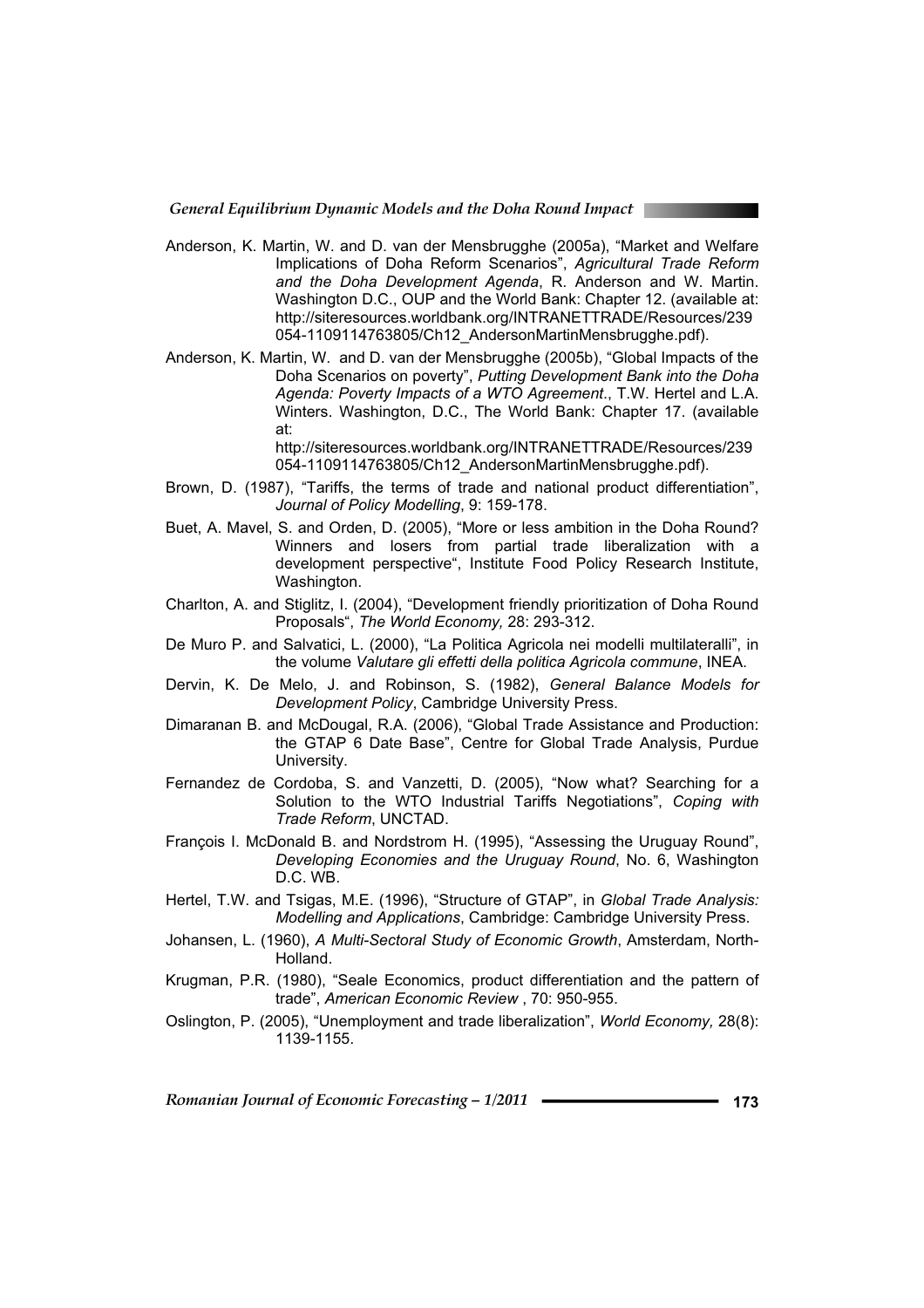*General Equilibrium Dynamic Models and the Doha Round Impact* 

- Anderson, K. Martin, W. and D. van der Mensbrugghe (2005a), "Market and Welfare Implications of Doha Reform Scenarios", *Agricultural Trade Reform and the Doha Development Agenda*, R. Anderson and W. Martin. Washington D.C., OUP and the World Bank: Chapter 12. (available at: http://siteresources.worldbank.org/INTRANETTRADE/Resources/239 054-1109114763805/Ch12\_AndersonMartinMensbrugghe.pdf).
- Anderson, K. Martin, W. and D. van der Mensbrugghe (2005b), "Global Impacts of the Doha Scenarios on poverty", *Putting Development Bank into the Doha Agenda: Poverty Impacts of a WTO Agreement*., T.W. Hertel and L.A. Winters. Washington, D.C., The World Bank: Chapter 17. (available at:

http://siteresources.worldbank.org/INTRANETTRADE/Resources/239 054-1109114763805/Ch12\_AndersonMartinMensbrugghe.pdf).

- Brown, D. (1987), "Tariffs, the terms of trade and national product differentiation", *Journal of Policy Modelling*, 9: 159-178.
- Buet, A. Mavel, S. and Orden, D. (2005), "More or less ambition in the Doha Round? Winners and losers from partial trade liberalization with a development perspective", Institute Food Policy Research Institute, Washington.
- Charlton, A. and Stiglitz, I. (2004), "Development friendly prioritization of Doha Round Proposals", *The World Economy,* 28: 293-312.
- De Muro P. and Salvatici, L. (2000), "La Politica Agricola nei modelli multilateralli", in the volume *Valutare gli effetti della politica Agricola commune*, INEA.
- Dervin, K. De Melo, J. and Robinson, S. (1982), *General Balance Models for Development Policy*, Cambridge University Press.
- Dimaranan B. and McDougal, R.A. (2006), "Global Trade Assistance and Production: the GTAP 6 Date Base", Centre for Global Trade Analysis, Purdue University.
- Fernandez de Cordoba, S. and Vanzetti, D. (2005), "Now what? Searching for a Solution to the WTO Industrial Tariffs Negotiations", *Coping with Trade Reform*, UNCTAD.
- François I. McDonald B. and Nordstrom H. (1995), "Assessing the Uruguay Round", *Developing Economies and the Uruguay Round*, No. 6, Washington D.C. WB.
- Hertel, T.W. and Tsigas, M.E. (1996), "Structure of GTAP", in *Global Trade Analysis: Modelling and Applications*, Cambridge: Cambridge University Press.
- Johansen, L. (1960), *A Multi-Sectoral Study of Economic Growth*, Amsterdam, North-Holland.
- Krugman, P.R. (1980), "Seale Economics, product differentiation and the pattern of trade", *American Economic Review* , 70: 950-955.
- Oslington, P. (2005), "Unemployment and trade liberalization", *World Economy,* 28(8): 1139-1155.